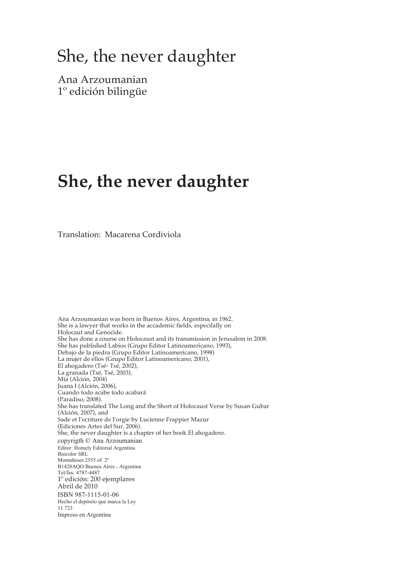# She, the never daughter

Ana Arzoumanian 1º edición bilingüe

# **She, the never daughter**

Translation: Macarena Cordiviola

Ana Arzoumanian was born in Buenos Aires, Argentina, in 1962. She is a lawyer that works in the accademic fields, especilally on Holocaut and Genocide. She has done a course on Holocaust and its transmission in Jerusalem in 2008. She has published Labios (Grupo Editor Latinoamericano, 1993), Debajo de la piedra (Grupo Editor Latinoamericano, 1998) La mujer de ellos (Grupo Editor Latinoamericano, 2001), El ahogadero (Tsé- Tsé, 2002), La granada (Tsé, Tsé, 2003), Mía (Alción, 2004) Juana I (Alción, 2006), Cuando todo acabe todo acabará (Paradiso, 2008). She has translated The Long and the Short of Holocaust Verse by Susan Gubar (Alción, 2007), and Sade et l'ecriture de l'orgie by Lucienne Frappier Mazur (Ediciones Artes del Sur, 2006). She, the never daughter is a chapter of her book El ahogadero. copyrigth © Ana Arzoumanian Editor: Homely Editorial Argentina Biocolor SRL Montañeses 2555 of. 2º B1428AQO Buenos Aires - Argentina Tel/fax: 4787-4487 1º edición: 200 ejemplares Abril de 2010 ISBN 987-1115-01-06 Hecho el depósito que marca la Ley 11.723 Impreso en Argentina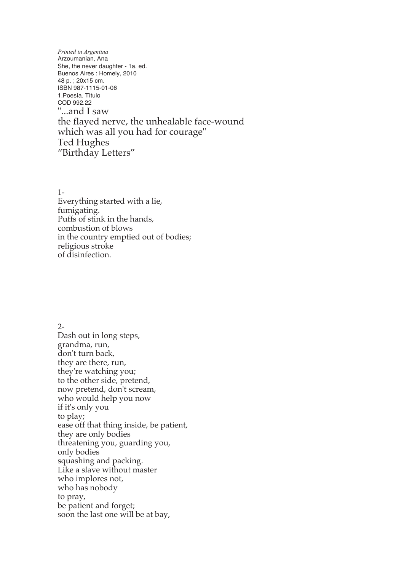*Printed in Argentina* Arzoumanian, Ana She, the never daughter - 1a. ed. Buenos Aires : Homely, 2010 48 p. ; 20x15 cm. ISBN 987-1115-01-06 1.Poesía. Título COD 992.22 "...and I saw the flayed nerve, the unhealable face-wound which was all you had for courage" Ted Hughes "Birthday Letters"

1-

Everything started with a lie, fumigating. Puffs of stink in the hands, combustion of blows in the country emptied out of bodies; religious stroke of disinfection.

2- Dash out in long steps, grandma, run, don't turn back, they are there, run, they're watching you; to the other side, pretend, now pretend, don't scream, who would help you now if it's only you to play; ease off that thing inside, be patient, they are only bodies threatening you, guarding you, only bodies squashing and packing. Like a slave without master who implores not, who has nobody to pray, be patient and forget; soon the last one will be at bay,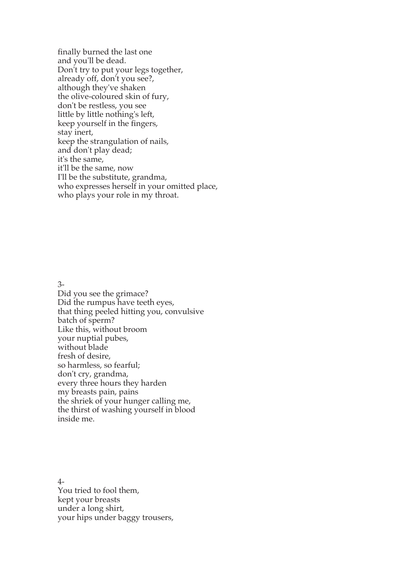finally burned the last one and you'll be dead. Don't try to put your legs together, already off, don't you see?, although they've shaken the olive-coloured skin of fury, don't be restless, you see little by little nothing's left, keep yourself in the fingers, stay inert, keep the strangulation of nails, and don't play dead; it's the same, it'll be the same, now I'll be the substitute, grandma, who expresses herself in your omitted place, who plays your role in my throat.

3-

Did you see the grimace? Did the rumpus have teeth eyes, that thing peeled hitting you, convulsive batch of sperm? Like this, without broom your nuptial pubes, without blade fresh of desire, so harmless, so fearful; don't cry, grandma, every three hours they harden my breasts pain, pains the shriek of your hunger calling me, the thirst of washing yourself in blood inside me.

4- You tried to fool them, kept your breasts under a long shirt, your hips under baggy trousers,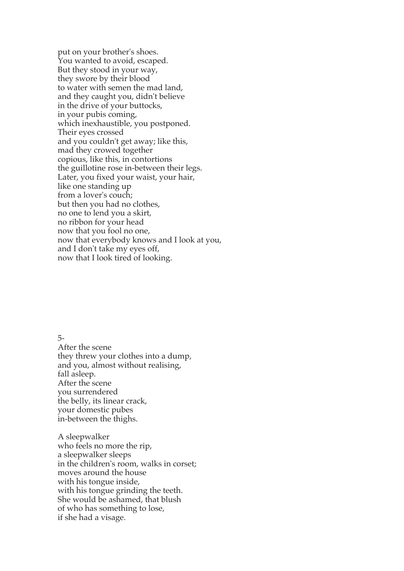put on your brother's shoes. You wanted to avoid, escaped. But they stood in your way, they swore by their blood to water with semen the mad land, and they caught you, didn't believe in the drive of your buttocks, in your pubis coming, which inexhaustible, you postponed. Their eyes crossed and you couldn't get away; like this, mad they crowed together copious, like this, in contortions the guillotine rose in-between their legs. Later, you fixed your waist, your hair, like one standing up from a lover's couch; but then you had no clothes, no one to lend you a skirt, no ribbon for your head now that you fool no one, now that everybody knows and I look at you, and I don't take my eyes off, now that I look tired of looking.

5-

After the scene they threw your clothes into a dump, and you, almost without realising, fall asleep. After the scene you surrendered the belly, its linear crack, your domestic pubes in-between the thighs.

A sleepwalker who feels no more the rip, a sleepwalker sleeps in the children's room, walks in corset; moves around the house with his tongue inside, with his tongue grinding the teeth. She would be ashamed, that blush of who has something to lose, if she had a visage.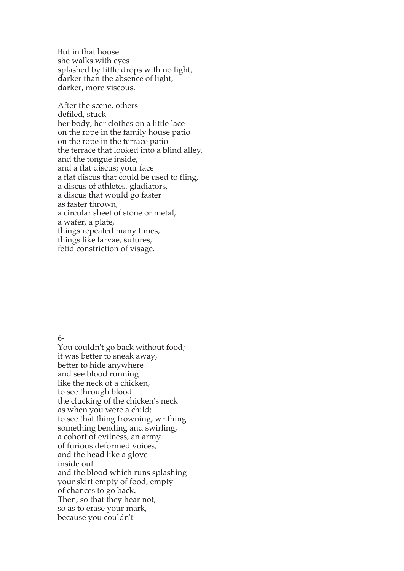But in that house she walks with eyes splashed by little drops with no light, darker than the absence of light, darker, more viscous.

After the scene, others defiled, stuck her body, her clothes on a little lace on the rope in the family house patio on the rope in the terrace patio the terrace that looked into a blind alley, and the tongue inside, and a flat discus; your face a flat discus that could be used to fling, a discus of athletes, gladiators, a discus that would go faster as faster thrown, a circular sheet of stone or metal, a wafer, a plate, things repeated many times, things like larvae, sutures, fetid constriction of visage.

#### 6-

You couldn't go back without food; it was better to sneak away, better to hide anywhere and see blood running like the neck of a chicken, to see through blood the clucking of the chicken's neck as when you were a child; to see that thing frowning, writhing something bending and swirling, a cohort of evilness, an army of furious deformed voices, and the head like a glove inside out and the blood which runs splashing your skirt empty of food, empty of chances to go back. Then, so that they hear not, so as to erase your mark, because you couldn't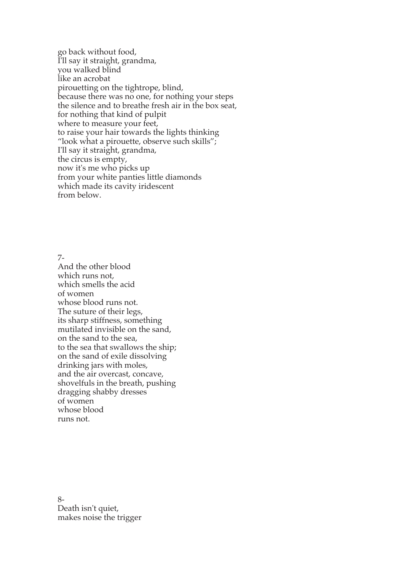go back without food, I'll say it straight, grandma, you walked blind like an acrobat pirouetting on the tightrope, blind, because there was no one, for nothing your steps the silence and to breathe fresh air in the box seat, for nothing that kind of pulpit where to measure your feet, to raise your hair towards the lights thinking "look what a pirouette, observe such skills"; I'll say it straight, grandma, the circus is empty, now it's me who picks up from your white panties little diamonds which made its cavity iridescent from below.

7-

And the other blood which runs not, which smells the acid of women whose blood runs not. The suture of their legs, its sharp stiffness, something mutilated invisible on the sand, on the sand to the sea, to the sea that swallows the ship; on the sand of exile dissolving drinking jars with moles, and the air overcast, concave, shovelfuls in the breath, pushing dragging shabby dresses of women whose blood runs not.

8- Death isn't quiet, makes noise the trigger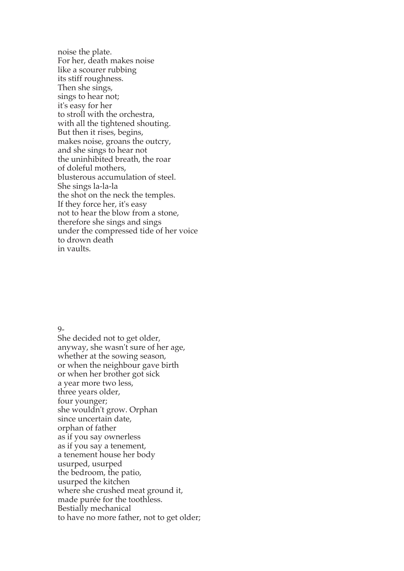noise the plate. For her, death makes noise like a scourer rubbing its stiff roughness. Then she sings, sings to hear not; it's easy for her to stroll with the orchestra, with all the tightened shouting. But then it rises, begins, makes noise, groans the outcry, and she sings to hear not the uninhibited breath, the roar of doleful mothers, blusterous accumulation of steel. She sings la-la-la the shot on the neck the temples. If they force her, it's easy not to hear the blow from a stone, therefore she sings and sings under the compressed tide of her voice to drown death in vaults.

#### 9-

She decided not to get older, anyway, she wasn't sure of her age, whether at the sowing season, or when the neighbour gave birth or when her brother got sick a year more two less, three years older, four younger; she wouldn't grow. Orphan since uncertain date, orphan of father as if you say ownerless as if you say a tenement, a tenement house her body usurped, usurped the bedroom, the patio, usurped the kitchen where she crushed meat ground it, made purée for the toothless. Bestially mechanical to have no more father, not to get older;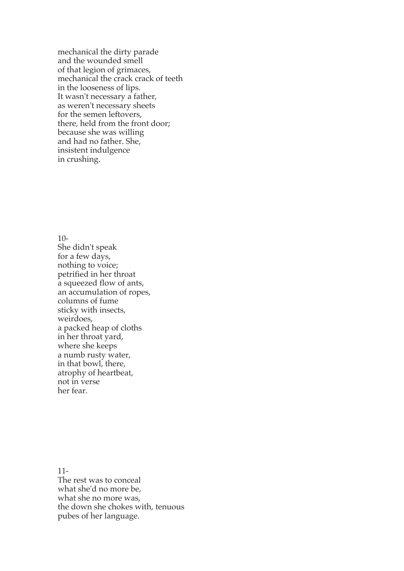mechanical the dirty parade and the wounded smell of that legion of grimaces, mechanical the crack crack of teeth in the looseness of lips. It wasn't necessary a father, as weren't necessary sheets for the semen leftovers, there, held from the front door; because she was willing and had no father. She, insistent indulgence in crushing.

### 10-

She didn't speak for a few days, nothing to voice; petrified in her throat a squeezed flow of ants, an accumulation of ropes, columns of fume sticky with insects, weirdoes, a packed heap of cloths in her throat yard, where she keeps a numb rusty water, in that bowl, there, atrophy of heartbeat, not in verse her fear.

11- The rest was to conceal what she'd no more be, what she no more was, the down she chokes with, tenuous pubes of her language.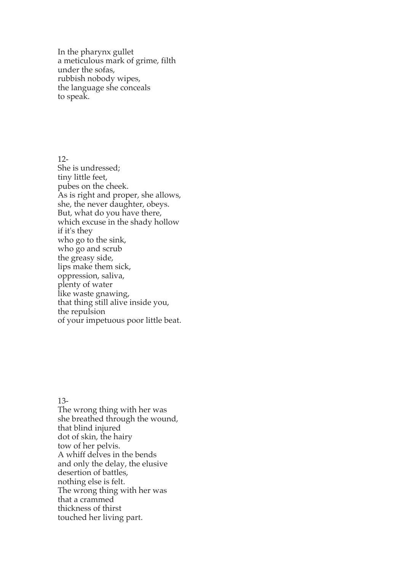In the pharynx gullet a meticulous mark of grime, filth under the sofas, rubbish nobody wipes, the language she conceals to speak.

12- She is undressed; tiny little feet, pubes on the cheek. As is right and proper, she allows, she, the never daughter, obeys. But, what do you have there, which excuse in the shady hollow if it's they who go to the sink, who go and scrub the greasy side, lips make them sick, oppression, saliva, plenty of water like waste gnawing, that thing still alive inside you, the repulsion of your impetuous poor little beat.

13-

The wrong thing with her was she breathed through the wound, that blind injured dot of skin, the hairy tow of her pelvis. A whiff delves in the bends and only the delay, the elusive desertion of battles, nothing else is felt. The wrong thing with her was that a crammed thickness of thirst touched her living part.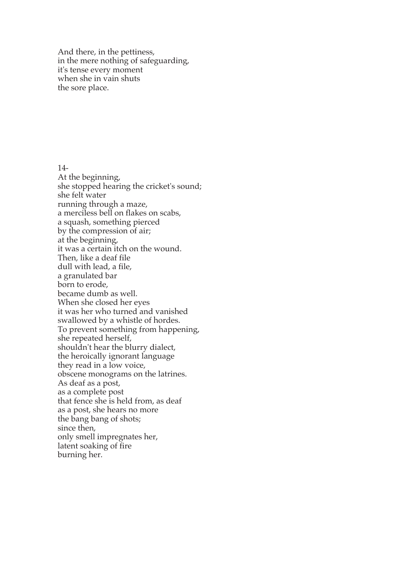And there, in the pettiness, in the mere nothing of safeguarding, it's tense every moment when she in vain shuts the sore place.

14-

At the beginning, she stopped hearing the cricket's sound; she felt water running through a maze, a merciless bell on flakes on scabs, a squash, something pierced by the compression of air; at the beginning, it was a certain itch on the wound. Then, like a deaf file dull with lead, a file, a granulated bar born to erode, became dumb as well. When she closed her eyes it was her who turned and vanished swallowed by a whistle of hordes. To prevent something from happening, she repeated herself, shouldn't hear the blurry dialect, the heroically ignorant language they read in a low voice, obscene monograms on the latrines. As deaf as a post, as a complete post that fence she is held from, as deaf as a post, she hears no more the bang bang of shots; since then, only smell impregnates her, latent soaking of fire burning her.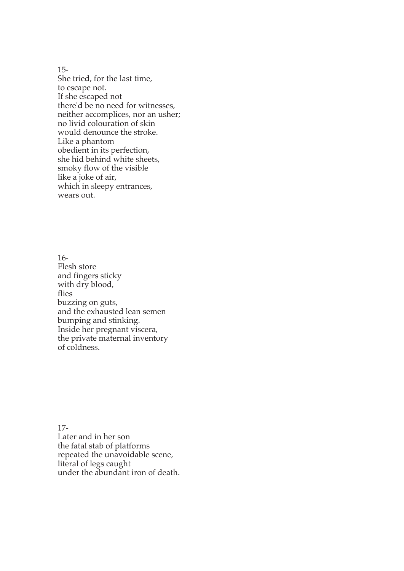15- She tried, for the last time, to escape not. If she escaped not there'd be no need for witnesses, neither accomplices, nor an usher; no livid colouration of skin would denounce the stroke. Like a phantom obedient in its perfection, she hid behind white sheets, smoky flow of the visible like a joke of air, which in sleepy entrances, wears out.

16- Flesh store and fingers sticky with dry blood, flies buzzing on guts, and the exhausted lean semen bumping and stinking. Inside her pregnant viscera, the private maternal inventory of coldness.

17- Later and in her son the fatal stab of platforms repeated the unavoidable scene, literal of legs caught under the abundant iron of death.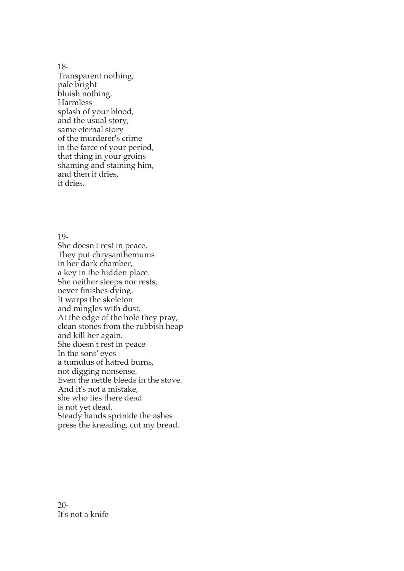18- Transparent nothing, pale bright bluish nothing. Harmless splash of your blood, and the usual story, same eternal story of the murderer's crime in the farce of your period, that thing in your groins shaming and staining him, and then it dries, it dries.

19-

She doesn't rest in peace. They put chrysanthemums in her dark chamber, a key in the hidden place. She neither sleeps nor rests, never finishes dying. It warps the skeleton and mingles with dust. At the edge of the hole they pray, clean stones from the rubbish heap and kill her again. She doesn't rest in peace In the sons' eyes a tumulus of hatred burns, not digging nonsense. Even the nettle bleeds in the stove. And it's not a mistake, she who lies there dead is not yet dead. Steady hands sprinkle the ashes press the kneading, cut my bread.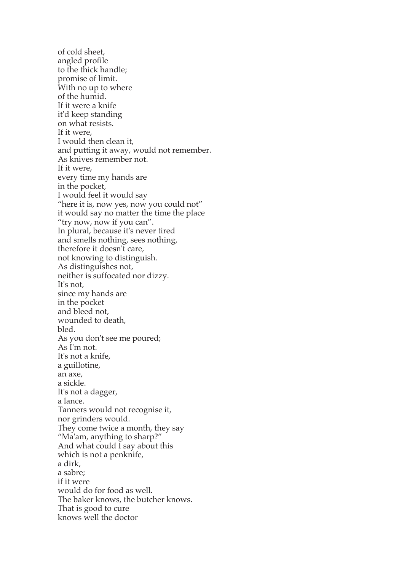of cold sheet, angled profile to the thick handle; promise of limit. With no up to where of the humid. If it were a knife it'd keep standing on what resists. If it were, I would then clean it, and putting it away, would not remember. As knives remember not. If it were, every time my hands are in the pocket, I would feel it would say "here it is, now yes, now you could not" it would say no matter the time the place "try now, now if you can". In plural, because it's never tired and smells nothing, sees nothing, therefore it doesn't care, not knowing to distinguish. As distinguishes not, neither is suffocated nor dizzy. It's not, since my hands are in the pocket and bleed not, wounded to death, bled. As you don't see me poured; As I'm not. It's not a knife, a guillotine, an axe, a sickle. It's not a dagger, a lance. Tanners would not recognise it, nor grinders would. They come twice a month, they say "Ma'am, anything to sharp?" And what could  $\overline{I}$  say about this which is not a penknife, a dirk, a sabre; if it were would do for food as well. The baker knows, the butcher knows. That is good to cure knows well the doctor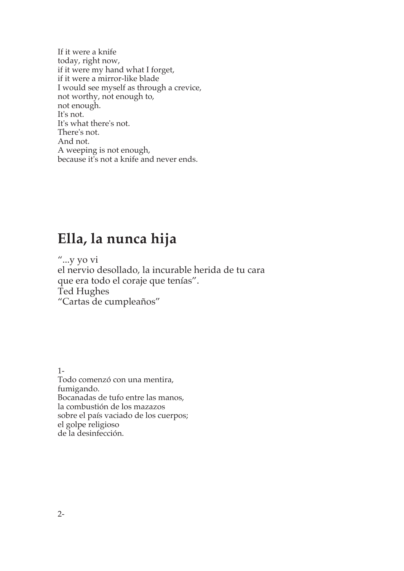| If it were a knife                       |
|------------------------------------------|
| today, right now,                        |
| if it were my hand what I forget,        |
| if it were a mirror-like blade           |
| I would see myself as through a crevice, |
| not worthy, not enough to,               |
| not enough.                              |
| It's not.                                |
| It's what there's not.                   |
| There's not.                             |
| And not.                                 |
| A weeping is not enough,                 |
| because it's not a knife and never ends. |
|                                          |

## **Ella, la nunca hija**

"...y yo vi el nervio desollado, la incurable herida de tu cara que era todo el coraje que tenías". Ted Hughes "Cartas de cumpleaños"

1- Todo comenzó con una mentira, fumigando. Bocanadas de tufo entre las manos, la combustión de los mazazos sobre el país vaciado de los cuerpos; el golpe religioso de la desinfección.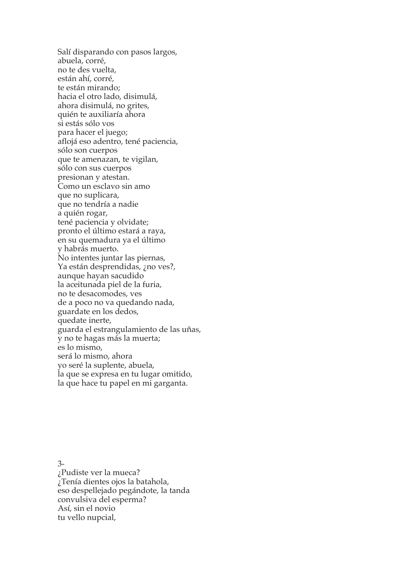Salí disparando con pasos largos, abuela, corré, no te des vuelta, están ahí, corré, te están mirando; hacia el otro lado, disimulá, ahora disimulá, no grites, quién te auxiliaría ahora si estás sólo vos para hacer el juego; aflojá eso adentro, tené paciencia, sólo son cuerpos que te amenazan, te vigilan, sólo con sus cuerpos presionan y atestan. Como un esclavo sin amo que no suplicara, que no tendría a nadie a quién rogar, tené paciencia y olvidate; pronto el último estará a raya, en su quemadura ya el último y habrás muerto. No intentes juntar las piernas, Ya están desprendidas, ¿no ves?, aunque hayan sacudido la aceitunada piel de la furia, no te desacomodes, ves de a poco no va quedando nada, guardate en los dedos, quedate inerte, guarda el estrangulamiento de las uñas, y no te hagas más la muerta; es lo mismo, será lo mismo, ahora yo seré la suplente, abuela, la que se expresa en tu lugar omitido, la que hace tu papel en mi garganta.

3- ¿Pudiste ver la mueca? ¿Tenía dientes ojos la batahola, eso despellejado pegándote, la tanda convulsiva del esperma? Así, sin el novio tu vello nupcial,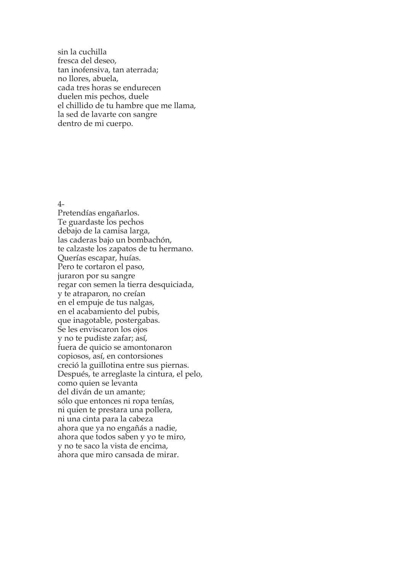sin la cuchilla fresca del deseo, tan inofensiva, tan aterrada; no llores, abuela, cada tres horas se endurecen duelen mis pechos, duele el chillido de tu hambre que me llama, la sed de lavarte con sangre dentro de mi cuerpo.

4-

Pretendías engañarlos. Te guardaste los pechos debajo de la camisa larga, las caderas bajo un bombachón, te calzaste los zapatos de tu hermano. Querías escapar, huías. Pero te cortaron el paso, juraron por su sangre regar con semen la tierra desquiciada, y te atraparon, no creían en el empuje de tus nalgas, en el acabamiento del pubis, que inagotable, postergabas. Se les enviscaron los ojos y no te pudiste zafar; así, fuera de quicio se amontonaron copiosos, así, en contorsiones creció la guillotina entre sus piernas. Después, te arreglaste la cintura, el pelo, como quien se levanta del diván de un amante; sólo que entonces ni ropa tenías, ni quien te prestara una pollera, ni una cinta para la cabeza ahora que ya no engañás a nadie, ahora que todos saben y yo te miro, y no te saco la vista de encima, ahora que miro cansada de mirar.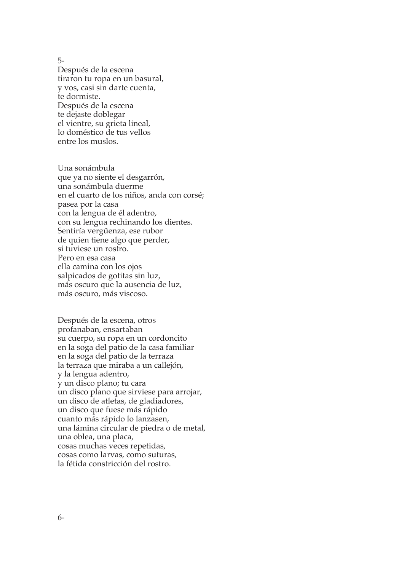#### 5-

Después de la escena tiraron tu ropa en un basural, y vos, casi sin darte cuenta, te dormiste. Después de la escena te dejaste doblegar el vientre, su grieta lineal, lo doméstico de tus vellos entre los muslos.

Una sonámbula que ya no siente el desgarrón, una sonámbula duerme en el cuarto de los niños, anda con corsé; pasea por la casa con la lengua de él adentro, con su lengua rechinando los dientes. Sentiría vergüenza, ese rubor de quien tiene algo que perder, si tuviese un rostro. Pero en esa casa ella camina con los ojos salpicados de gotitas sin luz, más oscuro que la ausencia de luz, más oscuro, más viscoso.

Después de la escena, otros profanaban, ensartaban su cuerpo, su ropa en un cordoncito en la soga del patio de la casa familiar en la soga del patio de la terraza la terraza que miraba a un callejón, y la lengua adentro, y un disco plano; tu cara un disco plano que sirviese para arrojar, un disco de atletas, de gladiadores, un disco que fuese más rápido cuanto más rápido lo lanzasen, una lámina circular de piedra o de metal, una oblea, una placa, cosas muchas veces repetidas, cosas como larvas, como suturas, la fétida constricción del rostro.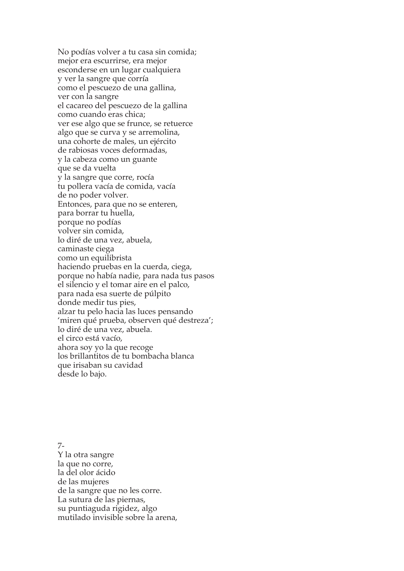No podías volver a tu casa sin comida; mejor era escurrirse, era mejor esconderse en un lugar cualquiera y ver la sangre que corría como el pescuezo de una gallina, ver con la sangre el cacareo del pescuezo de la gallina como cuando eras chica; ver ese algo que se frunce, se retuerce algo que se curva y se arremolina, una cohorte de males, un ejército de rabiosas voces deformadas, y la cabeza como un guante que se da vuelta y la sangre que corre, rocía tu pollera vacía de comida, vacía de no poder volver. Entonces, para que no se enteren, para borrar tu huella, porque no podías volver sin comida, lo diré de una vez, abuela, caminaste ciega como un equilibrista haciendo pruebas en la cuerda, ciega, porque no había nadie, para nada tus pasos el silencio y el tomar aire en el palco, para nada esa suerte de púlpito donde medir tus pies, alzar tu pelo hacia las luces pensando 'miren qué prueba, observen qué destreza'; lo diré de una vez, abuela. el circo está vacío, ahora soy yo la que recoge los brillantitos de tu bombacha blanca que irisaban su cavidad desde lo bajo.

7- Y la otra sangre la que no corre, la del olor ácido de las mujeres de la sangre que no les corre. La sutura de las piernas, su puntiaguda rigidez, algo mutilado invisible sobre la arena,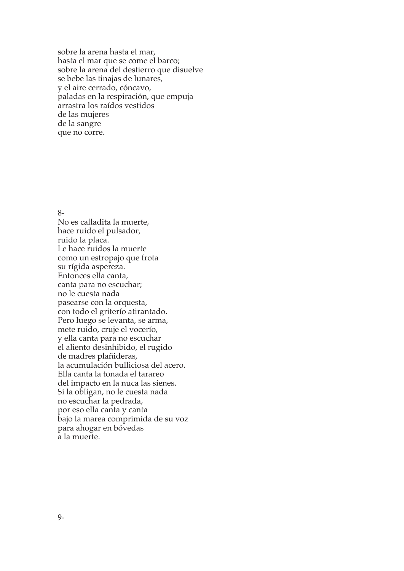sobre la arena hasta el mar, hasta el mar que se come el barco; sobre la arena del destierro que disuelve se bebe las tinajas de lunares, y el aire cerrado, cóncavo, paladas en la respiración, que empuja arrastra los raídos vestidos de las mujeres de la sangre que no corre.

8-

No es calladita la muerte, hace ruido el pulsador, ruido la placa. Le hace ruidos la muerte como un estropajo que frota su rígida aspereza. Entonces ella canta, canta para no escuchar; no le cuesta nada pasearse con la orquesta, con todo el griterío atirantado. Pero luego se levanta, se arma, mete ruido, cruje el vocerío, y ella canta para no escuchar el aliento desinhibido, el rugido de madres plañideras, la acumulación bulliciosa del acero. Ella canta la tonada el tarareo del impacto en la nuca las sienes. Si la obligan, no le cuesta nada no escuchar la pedrada, por eso ella canta y canta bajo la marea comprimida de su voz para ahogar en bóvedas a la muerte.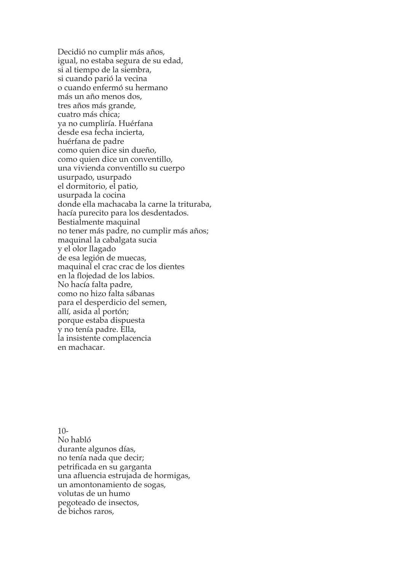Decidió no cumplir más años, igual, no estaba segura de su edad, si al tiempo de la siembra, si cuando parió la vecina o cuando enfermó su hermano más un año menos dos, tres años más grande, cuatro más chica; ya no cumpliría. Huérfana desde esa fecha incierta, huérfana de padre como quien dice sin dueño, como quien dice un conventillo, una vivienda conventillo su cuerpo usurpado, usurpado el dormitorio, el patio, usurpada la cocina donde ella machacaba la carne la trituraba, hacía purecito para los desdentados. Bestialmente maquinal no tener más padre, no cumplir más años; maquinal la cabalgata sucia y el olor llagado de esa legión de muecas, maquinal el crac crac de los dientes en la flojedad de los labios. No hacía falta padre, como no hizo falta sábanas para el desperdicio del semen, allí, asida al portón; porque estaba dispuesta y no tenía padre. Ella, la insistente complacencia en machacar.

10- No habló durante algunos días, no tenía nada que decir; petrificada en su garganta una afluencia estrujada de hormigas, un amontonamiento de sogas, volutas de un humo pegoteado de insectos, de bichos raros,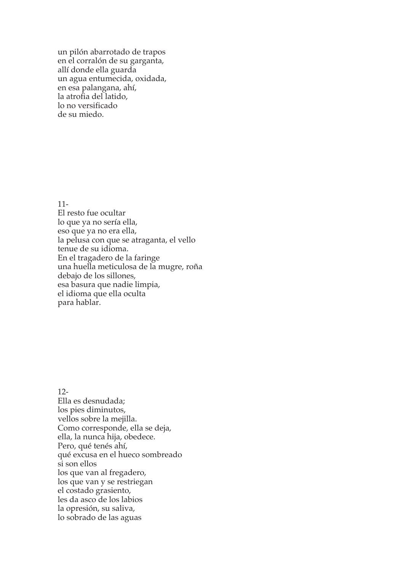un pilón abarrotado de trapos en el corralón de su garganta, allí donde ella guarda un agua entumecida, oxidada, en esa palangana, ahí, la atrofia del latido, lo no versificado de su miedo.

11-

El resto fue ocultar lo que ya no sería ella, eso que ya no era ella, la pelusa con que se atraganta, el vello tenue de su idioma. En el tragadero de la faringe una huella meticulosa de la mugre, roña debajo de los sillones, esa basura que nadie limpia, el idioma que ella oculta para hablar.

 $12 -$ 

Ella es desnudada; los pies diminutos, vellos sobre la mejilla. Como corresponde, ella se deja, ella, la nunca hija, obedece. Pero, qué tenés ahí, qué excusa en el hueco sombreado si son ellos los que van al fregadero, los que van y se restriegan el costado grasiento, les da asco de los labios la opresión, su saliva, lo sobrado de las aguas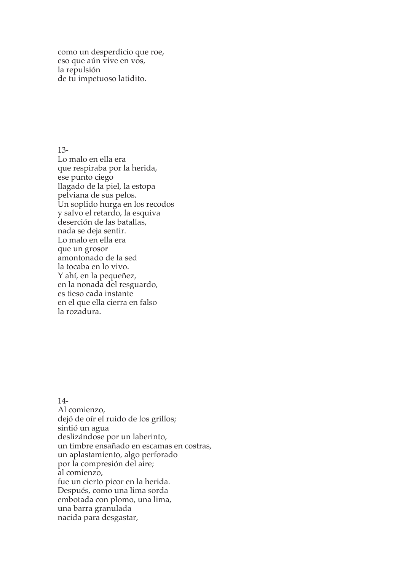como un desperdicio que roe, eso que aún vive en vos, la repulsión de tu impetuoso latidito.

13-

Lo malo en ella era que respiraba por la herida, ese punto ciego llagado de la piel, la estopa pelviana de sus pelos. Un soplido hurga en los recodos y salvo el retardo, la esquiva deserción de las batallas, nada se deja sentir. Lo malo en ella era que un grosor amontonado de la sed la tocaba en lo vivo. Y ahí, en la pequeñez, en la nonada del resguardo, es tieso cada instante en el que ella cierra en falso la rozadura.

### 14-

Al comienzo, dejó de oír el ruido de los grillos; sintió un agua deslizándose por un laberinto, un timbre ensañado en escamas en costras, un aplastamiento, algo perforado por la compresión del aire; al comienzo, fue un cierto picor en la herida. Después, como una lima sorda embotada con plomo, una lima, una barra granulada nacida para desgastar,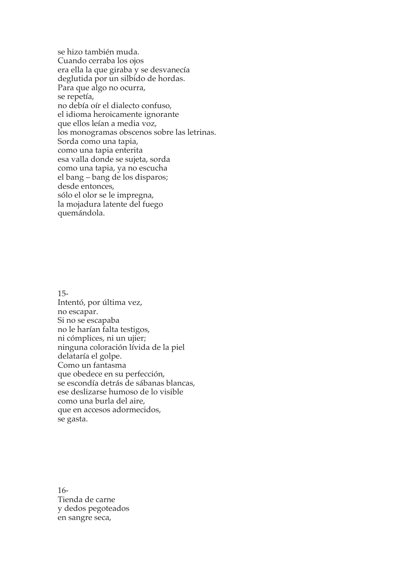se hizo también muda. Cuando cerraba los ojos era ella la que giraba y se desvanecía deglutida por un silbido de hordas. Para que algo no ocurra, se repetía, no debía oír el dialecto confuso, el idioma heroicamente ignorante que ellos leían a media voz, los monogramas obscenos sobre las letrinas. Sorda como una tapia, como una tapia enterita esa valla donde se sujeta, sorda como una tapia, ya no escucha el bang – bang de los disparos; desde entonces, sólo el olor se le impregna, la mojadura latente del fuego quemándola.

15-

Intentó, por última vez, no escapar. Si no se escapaba no le harían falta testigos, ni cómplices, ni un ujier; ninguna coloración lívida de la piel delataría el golpe. Como un fantasma que obedece en su perfección, se escondía detrás de sábanas blancas, ese deslizarse humoso de lo visible como una burla del aire, que en accesos adormecidos, se gasta.

16- Tienda de carne y dedos pegoteados en sangre seca,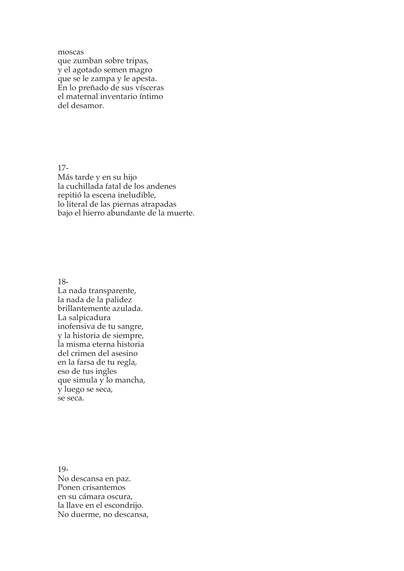moscas que zumban sobre tripas, y el agotado semen magro que se le zampa y le apesta. En lo preñado de sus vísceras el maternal inventario íntimo del desamor.

17-

Más tarde y en su hijo la cuchillada fatal de los andenes repitió la escena ineludible, lo literal de las piernas atrapadas bajo el hierro abundante de la muerte.

18-

La nada transparente, la nada de la palidez brillantemente azulada. La salpicadura inofensiva de tu sangre, y la historia de siempre, la misma eterna historia del crimen del asesino en la farsa de tu regla, eso de tus ingles que simula y lo mancha, y luego se seca, se seca.

19- No descansa en paz. Ponen crisantemos en su cámara oscura, la llave en el escondrijo. No duerme, no descansa,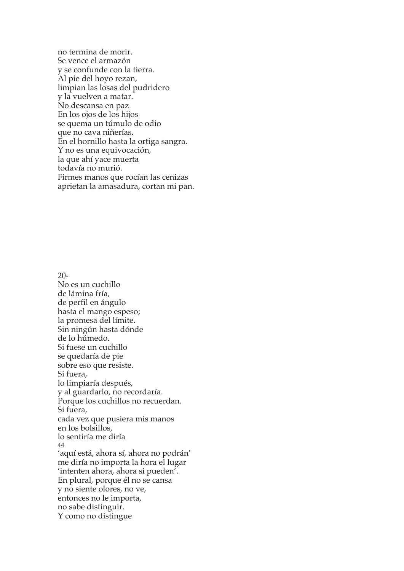no termina de morir. Se vence el armazón y se confunde con la tierra. Al pie del hoyo rezan, limpian las losas del pudridero y la vuelven a matar. No descansa en paz En los ojos de los hijos se quema un túmulo de odio que no cava niñerías. En el hornillo hasta la ortiga sangra. Y no es una equivocación, la que ahí yace muerta todavía no murió. Firmes manos que rocían las cenizas aprietan la amasadura, cortan mi pan.

20-

No es un cuchillo de lámina fría, de perfil en ángulo hasta el mango espeso; la promesa del límite. Sin ningún hasta dónde de lo húmedo. Si fuese un cuchillo se quedaría de pie sobre eso que resiste. Si fuera, lo limpiaría después, y al guardarlo, no recordaría. Porque los cuchillos no recuerdan. Si fuera, cada vez que pusiera mis manos en los bolsillos, lo sentiría me diría 44 'aquí está, ahora sí, ahora no podrán' me diría no importa la hora el lugar 'intenten ahora, ahora si pueden'. En plural, porque él no se cansa y no siente olores, no ve, entonces no le importa, no sabe distinguir. Y como no distingue